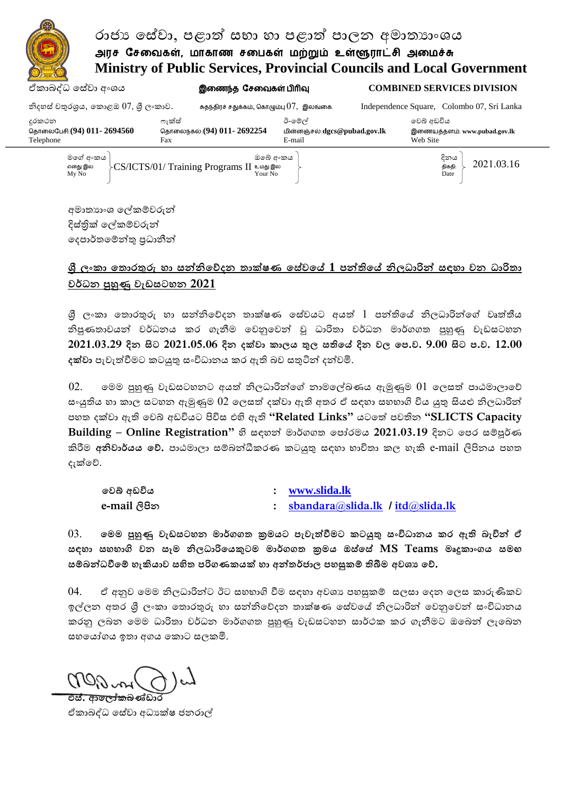# ඒකළබද්ධ සවේලළ අංය இணைந்தசேணைகள் பிரிவு **COMBINED SERVICES DIVISION** රාජා සේවා, පළාත් සභා හා පළාත් පාලන අමාතාාංශය அரச சேவைகள், மாகாண சபைகள் மற்றும் உள்ளூராட்சி அமைச்சு **Ministry of Public Services, Provincial Councils and Local Government**

| නිදහස් වතුරශුය, කොළඔ 07, ශූී ලංකාව.                                                                                                       | சுதந்திரச் சதுக்கம், கொழும்பு $07$ , $\,$ இலங்கை. |                                        | Independence Square, Colombo 07, Sri Lanka |
|-------------------------------------------------------------------------------------------------------------------------------------------|---------------------------------------------------|----------------------------------------|--------------------------------------------|
| දුරකථන                                                                                                                                    | ෆැක්ස්                                            | ඊ-මේල්                                 | වෙබ් අඩවිය                                 |
| தொலைபேசி:(94) 011- 2694560<br>Telephone                                                                                                   | தொலைநகல்:(94) 011- 2692254<br>Fax                 | மின்னஞ்சல்:dgcs@pubad.gov.lk<br>E-mail | இணையத்தளம்: www.pubad.gov.lk<br>Web Site   |
| මගේ අංකය<br>දිනය<br>ඔබේ අංකය<br>2021.03.16<br>- CS/ICTS/01/ Training Programs II உமது இல<br>எனது இல<br>திகதி:<br>Your No<br>My No<br>Date |                                                   |                                        |                                            |
|                                                                                                                                           |                                                   |                                        |                                            |

අමාතාහංශ ලේකම්වරුන් දිස්තික් ලේකම්වරුන් දෙපාර්තමේන්තු පුධානීන්

## **ශ්රී ලංකා ත ලංර තුරු හත ලංසන්නිරේදන ලං තක්ෂණ ලංරසේවරේ 1 ඳන්තිරේ නිකධතරින් සහත ලංවන ලංධතරි ත වර්ධන පුහුණු ලංවැඩසටහන 2021**

ශී ලංකා තොරතුරු හා සන්නිවේදන තාක්ෂණ සේවයට අයත් 1 පන්තියේ නිලධාරින්ගේ වෘත්තීය නිපුණතාවයන් වර්ධනය කර ගැනීම වෙනුවෙන් වූ ධාරිතා වර්ධන මාර්ගගත පුහුණු වැඩසටහන **2021.03.29 දින ලංසිට 2021.05.06 ලංදින ලං දක්වත ලං තකය ලං රක ලංසතිරේ ලංදින වක රඳ.ව. ලං 9.00 ලංසිට ලං ඳ.ව. 12.00 ලං** ද**ක්වා** පැවැත්වීමට කටයුතු ස∘විධානය කර ඇති බව සතුටින් දන්වමි.

 $02.$  සමම පුහුණු වැඩසටහනට අයත් නිලධාරින්ගේ නාමලේඛණය ඇමුණුම  $01$  ලෙසත් පාඨමාලාවේ සංයුතිය හා කාල සටහන ඇමුණුම  $02$  ලෙසත් දක්වා ඇති අතර ඒ සඳහා සහභාගි විය යුතු සියළු නිලධාරින් ඳශත් දක්ලළ ඇති සලබ් අඩවියට පිවිව එහි ඇති **"Related Links"** යටසත් ඳලතින **"SLICTS Capacity Building – Online Registration"** හි වශ මළර්ගගත් සඳෝරමය **2021.03.19** දිනට සඳර වේපූර් කිරීම <mark>අනිවාර්යය වේ.</mark> පාඨමාලා සම්බන්ධීකරණ කටයුතු සඳහා භාවිතා කල හැකි e-mail ලිපිනය පහත දැක්වේ.

| වෙබ් අඩවිය   | : www.slida.lk                     |
|--------------|------------------------------------|
| e-mail ලිපින | : sbandara@slida.lk / itd@slida.lk |

03. මෙම පුහුණු වැඩසටහන මාර්ගගත කුමයට පැවැත්වීමට කටයුතු සංවිධානය කර ඇ*ති* බැවින් ඒ **සහත ලං සහභතගි වන ලං සෑෙ නිකධතරිරයකුටෙ ලං ෙතර්ගග ලං ක්රෙය ලං සසසරසේ MS Teams ෙෘදු තාගය සෙඟ ලං** සම්බන්ධවීමේ හැකියාව සහිත පරිගණකයක් හා අන්තර්ජාල පහසුකම් තිබීම අවශා වේ.

04. ඒ අනුව මෙම නිලධාරින්ට ඊට සහභාගි වීම සඳහා අවශා පහසුකම් සලසා දෙන ලෙස කාරුණිකව ඉල්ලන අතර ශී ලංකා තොරතුරු හා සත්තිවේදන තාක්ෂණ සේවයේ නිලධාරිත් වෙනුවෙන් සංවිධානය කරනු ලබන මෙම ධාරිතා වර්ධන මාර්ගගත පුහුණු වැඩසටහන සාර්ථක කර ගැනීමට ඔබෙන් ලැබෙන සහයෝගය ඉතා අගය කොට සලකමි.

**එස්. ආලෝකබණ්ඩා** 

ඒකාබද්ධ සේවා අධායක්ෂ ජනරාල්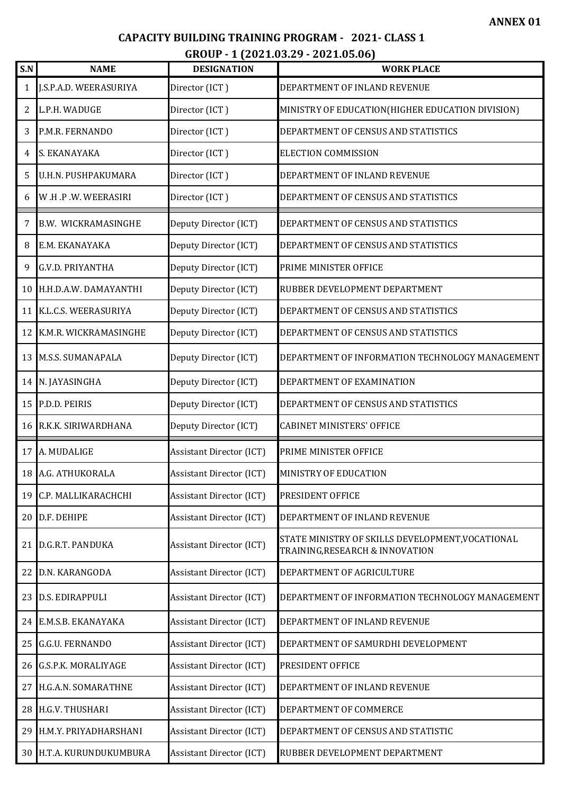#### **CAPACITY BUILDING TRAINING PROGRAM - 2021- CLASS 1 A**

### **GROUP - 1 (2021.03.29 - 2021.05.06)**

| S.N             | <b>NAME</b>                | <b>DESIGNATION</b>              | <b>WORK PLACE</b>                                                                   |
|-----------------|----------------------------|---------------------------------|-------------------------------------------------------------------------------------|
| 1               | J.S.P.A.D. WEERASURIYA     | Director (ICT)                  | DEPARTMENT OF INLAND REVENUE                                                        |
| 2               | L.P.H. WADUGE              | Director (ICT)                  | MINISTRY OF EDUCATION (HIGHER EDUCATION DIVISION)                                   |
| 3               | P.M.R. FERNANDO            | Director (ICT)                  | DEPARTMENT OF CENSUS AND STATISTICS                                                 |
| 4               | S. EKANAYAKA               | Director (ICT)                  | <b>ELECTION COMMISSION</b>                                                          |
| 5               | U.H.N. PUSHPAKUMARA        | Director (ICT)                  | DEPARTMENT OF INLAND REVENUE                                                        |
| 6               | W.H.P.W.WEERASIRI          | Director (ICT)                  | DEPARTMENT OF CENSUS AND STATISTICS                                                 |
| 7               | <b>B.W. WICKRAMASINGHE</b> | Deputy Director (ICT)           | DEPARTMENT OF CENSUS AND STATISTICS                                                 |
| 8               | E.M. EKANAYAKA             | Deputy Director (ICT)           | DEPARTMENT OF CENSUS AND STATISTICS                                                 |
| 9               | <b>G.V.D. PRIYANTHA</b>    | Deputy Director (ICT)           | PRIME MINISTER OFFICE                                                               |
| 10              | H.H.D.A.W. DAMAYANTHI      | Deputy Director (ICT)           | RUBBER DEVELOPMENT DEPARTMENT                                                       |
| 11              | K.L.C.S. WEERASURIYA       | Deputy Director (ICT)           | DEPARTMENT OF CENSUS AND STATISTICS                                                 |
| 12              | K.M.R. WICKRAMASINGHE      | Deputy Director (ICT)           | DEPARTMENT OF CENSUS AND STATISTICS                                                 |
| 13 <sup>1</sup> | <b>M.S.S. SUMANAPALA</b>   | Deputy Director (ICT)           | DEPARTMENT OF INFORMATION TECHNOLOGY MANAGEMENT                                     |
| 14              | N. JAYASINGHA              | Deputy Director (ICT)           | DEPARTMENT OF EXAMINATION                                                           |
| 15              | P.D.D. PEIRIS              | Deputy Director (ICT)           | DEPARTMENT OF CENSUS AND STATISTICS                                                 |
| 16              | R.K.K. SIRIWARDHANA        | Deputy Director (ICT)           | <b>CABINET MINISTERS' OFFICE</b>                                                    |
| 17              | A. MUDALIGE                | <b>Assistant Director (ICT)</b> | PRIME MINISTER OFFICE                                                               |
| 18              | A.G. ATHUKORALA            | <b>Assistant Director (ICT)</b> | MINISTRY OF EDUCATION                                                               |
| 19              | C.P. MALLIKARACHCHI        | <b>Assistant Director (ICT)</b> | PRESIDENT OFFICE                                                                    |
| 20 l            | D.F. DEHIPE                | <b>Assistant Director (ICT)</b> | DEPARTMENT OF INLAND REVENUE                                                        |
| 21              | D.G.R.T. PANDUKA           | <b>Assistant Director (ICT)</b> | STATE MINISTRY OF SKILLS DEVELOPMENT, VOCATIONAL<br>TRAINING, RESEARCH & INNOVATION |
| 22              | D.N. KARANGODA             | <b>Assistant Director (ICT)</b> | DEPARTMENT OF AGRICULTURE                                                           |
| 23 l            | <b>D.S. EDIRAPPULI</b>     | <b>Assistant Director (ICT)</b> | DEPARTMENT OF INFORMATION TECHNOLOGY MANAGEMENT                                     |
| 24              | E.M.S.B. EKANAYAKA         | <b>Assistant Director (ICT)</b> | DEPARTMENT OF INLAND REVENUE                                                        |
| 25              | G.G.U. FERNANDO            | <b>Assistant Director (ICT)</b> | DEPARTMENT OF SAMURDHI DEVELOPMENT                                                  |
| 26 <sub>l</sub> | G.S.P.K. MORALIYAGE        | <b>Assistant Director (ICT)</b> | PRESIDENT OFFICE                                                                    |
| 27              | H.G.A.N. SOMARATHNE        | <b>Assistant Director (ICT)</b> | DEPARTMENT OF INLAND REVENUE                                                        |
| 28              | H.G.V. THUSHARI            | <b>Assistant Director (ICT)</b> | DEPARTMENT OF COMMERCE                                                              |
| 29              | H.M.Y. PRIYADHARSHANI      | <b>Assistant Director (ICT)</b> | DEPARTMENT OF CENSUS AND STATISTIC                                                  |
| 30 <sup>1</sup> | H.T.A. KURUNDUKUMBURA      | <b>Assistant Director (ICT)</b> | RUBBER DEVELOPMENT DEPARTMENT                                                       |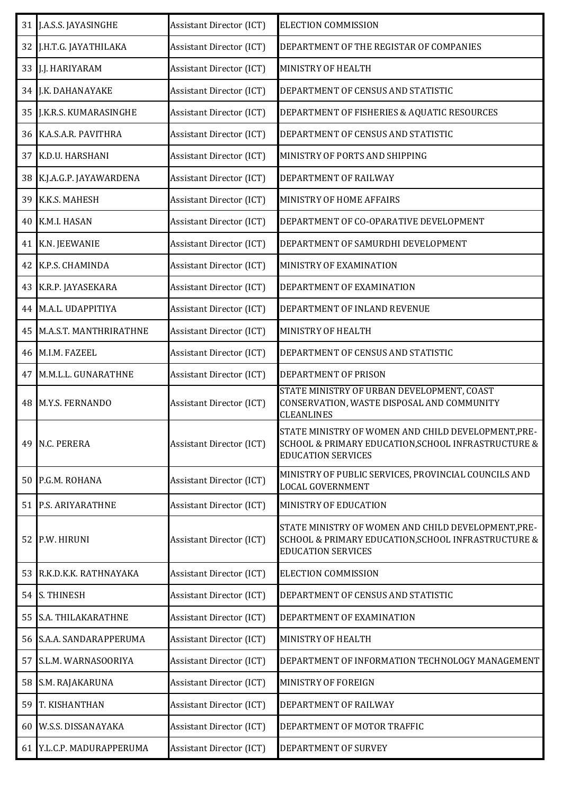|    | 31 J.A.S.S. JAYASINGHE    | <b>Assistant Director (ICT)</b> | <b>ELECTION COMMISSION</b>                                                                                                              |
|----|---------------------------|---------------------------------|-----------------------------------------------------------------------------------------------------------------------------------------|
| 32 | J.H.T.G. JAYATHILAKA      | <b>Assistant Director (ICT)</b> | DEPARTMENT OF THE REGISTAR OF COMPANIES                                                                                                 |
|    | 33 J.J. HARIYARAM         | <b>Assistant Director (ICT)</b> | MINISTRY OF HEALTH                                                                                                                      |
| 34 | J.K. DAHANAYAKE           | <b>Assistant Director (ICT)</b> | DEPARTMENT OF CENSUS AND STATISTIC                                                                                                      |
|    | 35 J.K.R.S. KUMARASINGHE  | <b>Assistant Director (ICT)</b> | DEPARTMENT OF FISHERIES & AQUATIC RESOURCES                                                                                             |
|    | 36 K.A.S.A.R. PAVITHRA    | <b>Assistant Director (ICT)</b> | DEPARTMENT OF CENSUS AND STATISTIC                                                                                                      |
|    | 37 K.D.U. HARSHANI        | <b>Assistant Director (ICT)</b> | MINISTRY OF PORTS AND SHIPPING                                                                                                          |
| 38 | K.J.A.G.P. JAYAWARDENA    | <b>Assistant Director (ICT)</b> | DEPARTMENT OF RAILWAY                                                                                                                   |
| 39 | K.K.S. MAHESH             | <b>Assistant Director (ICT)</b> | MINISTRY OF HOME AFFAIRS                                                                                                                |
| 40 | K.M.I. HASAN              | <b>Assistant Director (ICT)</b> | DEPARTMENT OF CO-OPARATIVE DEVELOPMENT                                                                                                  |
|    | 41 K.N. JEEWANIE          | <b>Assistant Director (ICT)</b> | DEPARTMENT OF SAMURDHI DEVELOPMENT                                                                                                      |
|    | 42 K.P.S. CHAMINDA        | <b>Assistant Director (ICT)</b> | MINISTRY OF EXAMINATION                                                                                                                 |
|    | 43 K.R.P. JAYASEKARA      | <b>Assistant Director (ICT)</b> | DEPARTMENT OF EXAMINATION                                                                                                               |
| 44 | M.A.L. UDAPPITIYA         | <b>Assistant Director (ICT)</b> | DEPARTMENT OF INLAND REVENUE                                                                                                            |
| 45 | M.A.S.T. MANTHRIRATHNE    | <b>Assistant Director (ICT)</b> | MINISTRY OF HEALTH                                                                                                                      |
| 46 | M.I.M. FAZEEL             | <b>Assistant Director (ICT)</b> | DEPARTMENT OF CENSUS AND STATISTIC                                                                                                      |
|    | 47 M.M.L.L. GUNARATHNE    | <b>Assistant Director (ICT)</b> | DEPARTMENT OF PRISON                                                                                                                    |
| 48 | <b>M.Y.S. FERNANDO</b>    | <b>Assistant Director (ICT)</b> | STATE MINISTRY OF URBAN DEVELOPMENT, COAST<br>CONSERVATION, WASTE DISPOSAL AND COMMUNITY<br><b>CLEANLINES</b>                           |
|    | 49 N.C. PERERA            | <b>Assistant Director (ICT)</b> | STATE MINISTRY OF WOMEN AND CHILD DEVELOPMENT,PRE-<br>SCHOOL & PRIMARY EDUCATION, SCHOOL INFRASTRUCTURE &<br><b>EDUCATION SERVICES</b>  |
|    | 50 P.G.M. ROHANA          | <b>Assistant Director (ICT)</b> | MINISTRY OF PUBLIC SERVICES, PROVINCIAL COUNCILS AND<br><b>LOCAL GOVERNMENT</b>                                                         |
|    | 51 P.S. ARIYARATHNE       | <b>Assistant Director (ICT)</b> | MINISTRY OF EDUCATION                                                                                                                   |
|    | 52 P.W. HIRUNI            | <b>Assistant Director (ICT)</b> | STATE MINISTRY OF WOMEN AND CHILD DEVELOPMENT, PRE-<br>SCHOOL & PRIMARY EDUCATION, SCHOOL INFRASTRUCTURE &<br><b>EDUCATION SERVICES</b> |
| 53 | R.K.D.K.K. RATHNAYAKA     | <b>Assistant Director (ICT)</b> | <b>ELECTION COMMISSION</b>                                                                                                              |
| 54 | <b>S. THINESH</b>         | <b>Assistant Director (ICT)</b> | DEPARTMENT OF CENSUS AND STATISTIC                                                                                                      |
|    | 55 S.A. THILAKARATHNE     | <b>Assistant Director (ICT)</b> | DEPARTMENT OF EXAMINATION                                                                                                               |
|    | 56 S.A.A. SANDARAPPERUMA  | <b>Assistant Director (ICT)</b> | MINISTRY OF HEALTH                                                                                                                      |
| 57 | S.L.M. WARNASOORIYA       | <b>Assistant Director (ICT)</b> | DEPARTMENT OF INFORMATION TECHNOLOGY MANAGEMENT                                                                                         |
| 58 | S.M. RAJAKARUNA           | <b>Assistant Director (ICT)</b> | MINISTRY OF FOREIGN                                                                                                                     |
| 59 | T. KISHANTHAN             | <b>Assistant Director (ICT)</b> | DEPARTMENT OF RAILWAY                                                                                                                   |
| 60 | <b>W.S.S. DISSANAYAKA</b> | <b>Assistant Director (ICT)</b> | DEPARTMENT OF MOTOR TRAFFIC                                                                                                             |
|    | 61 Y.L.C.P. MADURAPPERUMA | <b>Assistant Director (ICT)</b> | DEPARTMENT OF SURVEY                                                                                                                    |